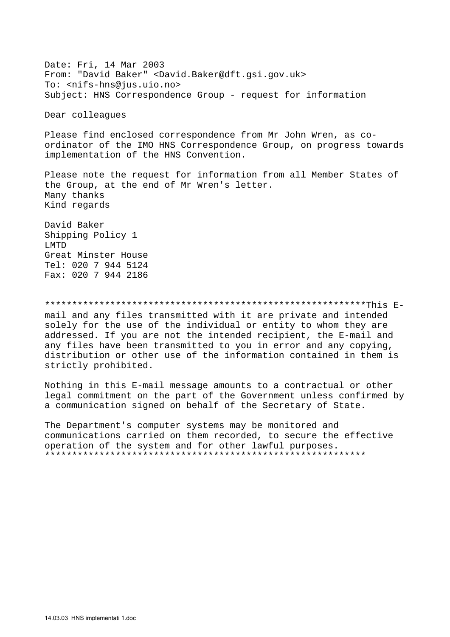Date: Fri, 14 Mar 2003 From: "David Baker" <David.Baker@dft.gsi.gov.uk> To: <nifs-hns@jus.uio.no> Subject: HNS Correspondence Group - request for information

Dear colleagues

Please find enclosed correspondence from Mr John Wren, as coordinator of the IMO HNS Correspondence Group, on progress towards implementation of the HNS Convention.

Please note the request for information from all Member States of the Group, at the end of Mr Wren's letter. Many thanks Kind regards

David Baker Shipping Policy 1 T.MTD Great Minster House Tel: 020 7 944 5124 Fax: 020 7 944 2186

## 

mail and any files transmitted with it are private and intended solely for the use of the individual or entity to whom they are addressed. If you are not the intended recipient, the E-mail and any files have been transmitted to you in error and any copying, distribution or other use of the information contained in them is strictly prohibited.

Nothing in this E-mail message amounts to a contractual or other legal commitment on the part of the Government unless confirmed by a communication signed on behalf of the Secretary of State.

The Department's computer systems may be monitored and communications carried on them recorded, to secure the effective operation of the system and for other lawful purposes.